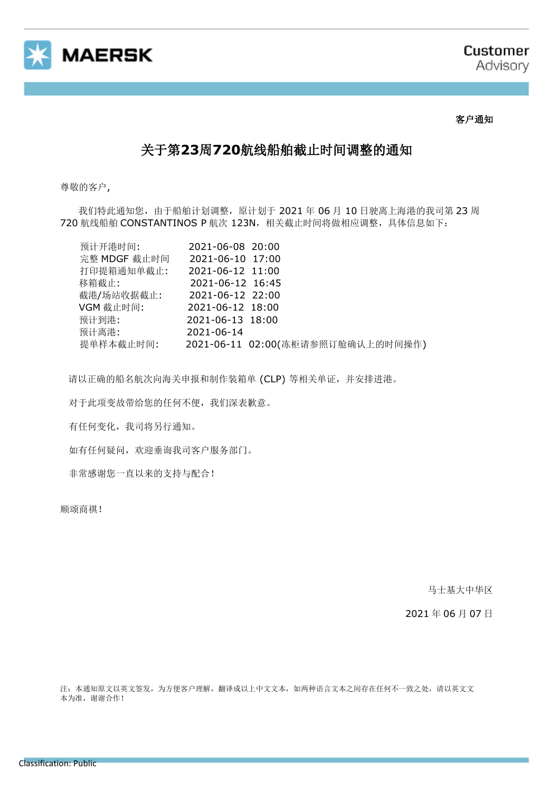

## 客户通知

## 关于第**23**周**720**航线船舶截止时间调整的通知

尊敬的客户,

我们特此通知您,由于船舶计划调整,原计划于 2021 年 06 月 10 日驶离上海港的我司第 23 周 720 航线船舶 CONSTANTINOS P 航次 123N, 相关截止时间将做相应调整, 具体信息如下:

| 预计开港时间:      | 2021-06-08 20:00                  |
|--------------|-----------------------------------|
| 完整 MDGF 截止时间 | 2021-06-10 17:00                  |
| 打印提箱通知单截止:   | 2021-06-12 11:00                  |
| 移箱截止:        | 2021-06-12 16:45                  |
| 截港/场站收据截止:   | 2021-06-12 22:00                  |
| VGM 截止时间:    | 2021-06-12 18:00                  |
| 预计到港:        | 2021-06-13 18:00                  |
| 预计离港:        | 2021-06-14                        |
| 提单样本截止时间:    | 2021-06-11 02:00(冻柜请参照订舱确认上的时间操作) |

请以正确的船名航次向海关申报和制作装箱单 (CLP) 等相关单证,并安排进港。

对于此项变故带给您的任何不便,我们深表歉意。

有任何变化,我司将另行通知。

如有任何疑问,欢迎垂询我司客户服务部门。

非常感谢您一直以来的支持与配合!

顺颂商祺!

马士基大中华区

2021 年 06 月 07 日

注:本通知原文以英文签发,为方便客户理解,翻译成以上中文文本,如两种语言文本之间存在任何不一致之处,请以英文文 本为准, 谢谢合作!